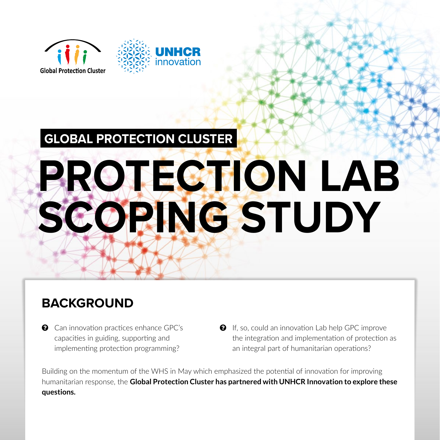

# **GLOBAL PROTECTION CLUSTER PROTECTION LAB SCOPING STUDY**

### **BACKGROUND**

- $\odot$  Can innovation practices enhance GPC's capacities in guiding, supporting and implementing protection programming?
- $\bullet$  If, so, could an innovation Lab help GPC improve the integration and implementation of protection as an integral part of humanitarian operations?

Building on the momentum of the WHS in May which emphasized the potential of innovation for improving humanitarian response, the **Global Protection Cluster has partnered with UNHCR Innovation to explore these questions.**